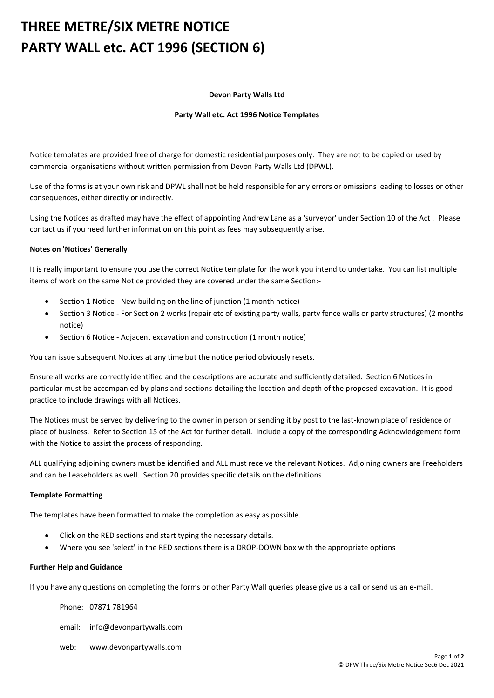# **THREE METRE/SIX METRE NOTICE PARTY WALL etc. ACT 1996 (SECTION 6)**

### **Devon Party Walls Ltd**

#### **Party Wall etc. Act 1996 Notice Templates**

Notice templates are provided free of charge for domestic residential purposes only. They are not to be copied or used by commercial organisations without written permission from Devon Party Walls Ltd (DPWL).

Use of the forms is at your own risk and DPWL shall not be held responsible for any errors or omissions leading to losses or other consequences, either directly or indirectly.

Using the Notices as drafted may have the effect of appointing Andrew Lane as a 'surveyor' under Section 10 of the Act . Please contact us if you need further information on this point as fees may subsequently arise.

### **Notes on 'Notices' Generally**

It is really important to ensure you use the correct Notice template for the work you intend to undertake. You can list multiple items of work on the same Notice provided they are covered under the same Section:-

- Section 1 Notice New building on the line of junction (1 month notice)
- Section 3 Notice For Section 2 works (repair etc of existing party walls, party fence walls or party structures) (2 months notice)
- Section 6 Notice Adjacent excavation and construction (1 month notice)

You can issue subsequent Notices at any time but the notice period obviously resets.

Ensure all works are correctly identified and the descriptions are accurate and sufficiently detailed. Section 6 Notices in particular must be accompanied by plans and sections detailing the location and depth of the proposed excavation. It is good practice to include drawings with all Notices.

The Notices must be served by delivering to the owner in person or sending it by post to the last-known place of residence or place of business. Refer to Section 15 of the Act for further detail. Include a copy of the corresponding Acknowledgement form with the Notice to assist the process of responding.

ALL qualifying adjoining owners must be identified and ALL must receive the relevant Notices. Adjoining owners are Freeholders and can be Leaseholders as well. Section 20 provides specific details on the definitions.

### **Template Formatting**

The templates have been formatted to make the completion as easy as possible.

- Click on the RED sections and start typing the necessary details.
- Where you see 'select' in the RED sections there is a DROP-DOWN box with the appropriate options

### **Further Help and Guidance**

If you have any questions on completing the forms or other Party Wall queries please give us a call or send us an e-mail.

Phone: 07871 781964

email: info@devonpartywalls.com

web: www.devonpartywalls.com